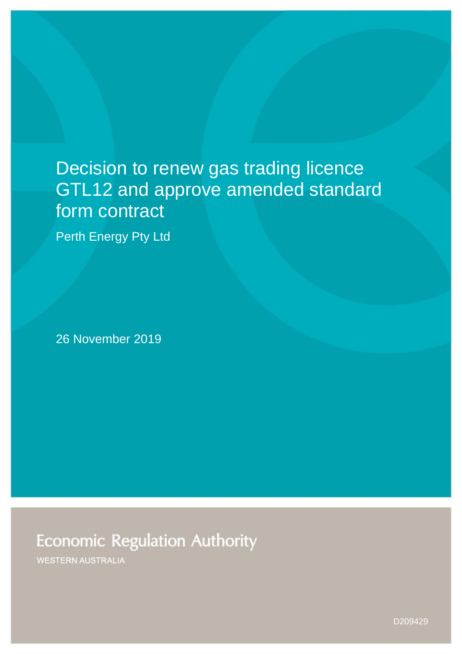# Decision to renew gas trading licence GTL12 and approve amended standard form contract

Perth Energy Pty Ltd

26 November 2019

## **Economic Regulation Authority**

WESTERN AUSTRALIA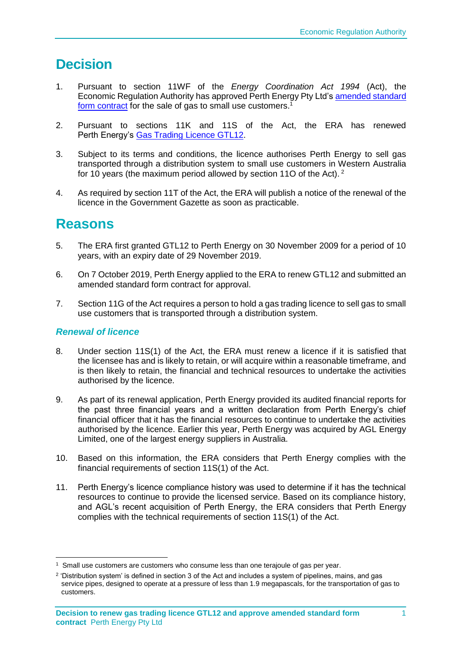## **Decision**

- 1. Pursuant to section 11WF of the *Energy Coordination Act 1994* (Act), the Economic Regulation Authority has approved Perth Energy Pty Ltd's amended standard [form contract](https://www.erawa.com.au/gas/gas-licensing/standard-form-contracts) for the sale of gas to small use customers.<sup>1</sup>
- 2. Pursuant to sections 11K and 11S of the Act, the ERA has renewed Perth Energy's [Gas Trading Licence GTL12.](https://www.erawa.com.au/gas/gas-licensing/licence-holders)
- 3. Subject to its terms and conditions, the licence authorises Perth Energy to sell gas transported through a distribution system to small use customers in Western Australia for 10 years (the maximum period allowed by section 11O of the Act). <sup>2</sup>
- 4. As required by section 11T of the Act, the ERA will publish a notice of the renewal of the licence in the Government Gazette as soon as practicable.

### **Reasons**

- 5. The ERA first granted GTL12 to Perth Energy on 30 November 2009 for a period of 10 years, with an expiry date of 29 November 2019.
- 6. On 7 October 2019, Perth Energy applied to the ERA to renew GTL12 and submitted an amended standard form contract for approval.
- 7. Section 11G of the Act requires a person to hold a gas trading licence to sell gas to small use customers that is transported through a distribution system.

### *Renewal of licence*

- 8. Under section 11S(1) of the Act, the ERA must renew a licence if it is satisfied that the licensee has and is likely to retain, or will acquire within a reasonable timeframe, and is then likely to retain, the financial and technical resources to undertake the activities authorised by the licence.
- 9. As part of its renewal application, Perth Energy provided its audited financial reports for the past three financial years and a written declaration from Perth Energy's chief financial officer that it has the financial resources to continue to undertake the activities authorised by the licence. Earlier this year, Perth Energy was acquired by AGL Energy Limited, one of the largest energy suppliers in Australia.
- 10. Based on this information, the ERA considers that Perth Energy complies with the financial requirements of section 11S(1) of the Act.
- 11. Perth Energy's licence compliance history was used to determine if it has the technical resources to continue to provide the licensed service. Based on its compliance history, and AGL's recent acquisition of Perth Energy, the ERA considers that Perth Energy complies with the technical requirements of section 11S(1) of the Act.

<sup>-</sup>1 Small use customers are customers who consume less than one terajoule of gas per year.

<sup>&</sup>lt;sup>2</sup> 'Distribution system' is defined in section 3 of the Act and includes a system of pipelines, mains, and gas service pipes, designed to operate at a pressure of less than 1.9 megapascals, for the transportation of gas to customers.